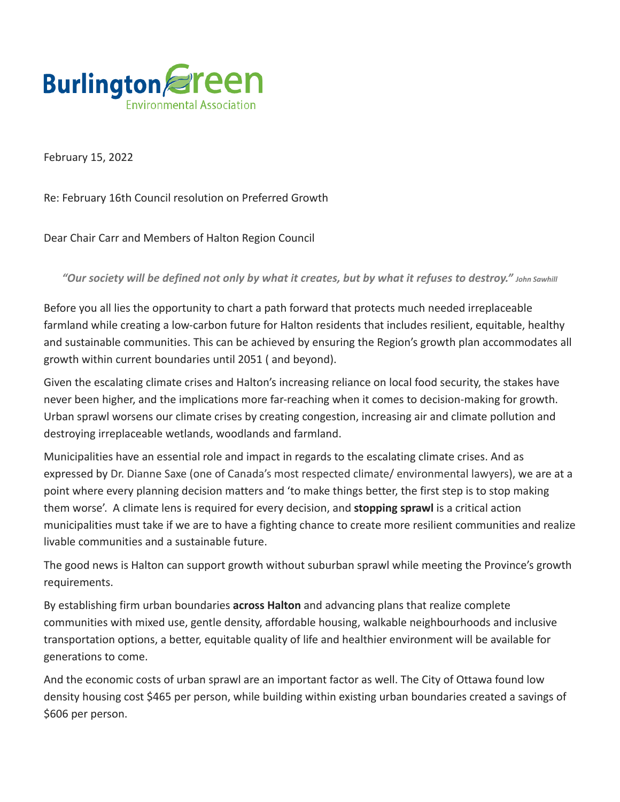

February 15, 2022

Re: February 16th Council resolution on Preferred Growth

Dear Chair Carr and Members of Halton Region Council

*"Our society will be defined not only by what it creates, but by what it refuses to destroy." John Sawhill*

Before you all lies the opportunity to chart a path forward that protects much needed irreplaceable farmland while creating a low-carbon future for Halton residents that includes resilient, equitable, healthy and sustainable communities. This can be achieved by ensuring the Region's growth plan accommodates all growth within current boundaries until 2051 ( and beyond).

Given the escalating climate crises and Halton's increasing reliance on local food security, the stakes have never been higher, and the implications more far-reaching when it comes to decision-making for growth. Urban sprawl worsens our climate crises by creating congestion, increasing air and climate pollution and destroying irreplaceable wetlands, woodlands and farmland.

Municipalities have an essential role and impact in regards to the escalating climate crises. And as expressed by Dr. Dianne Saxe (one of Canada's most respected climate/ environmental lawyers), we are at a point where every planning decision matters and 'to make things better, the first step is to stop making them worse'. A climate lens is required for every decision, and **stopping sprawl** is a critical action municipalities must take if we are to have a fighting chance to create more resilient communities and realize livable communities and a sustainable future.

The good news is Halton can support growth without suburban sprawl while meeting the Province's growth requirements.

By establishing firm urban boundaries **across Halton** and advancing plans that realize complete communities with mixed use, gentle density, affordable housing, walkable neighbourhoods and inclusive transportation options, a better, equitable quality of life and healthier environment will be available for generations to come.

And the economic costs of urban sprawl are an important factor as well. The City of Ottawa found low density housing cost \$465 per person, while building within existing urban boundaries created a savings of \$606 per person.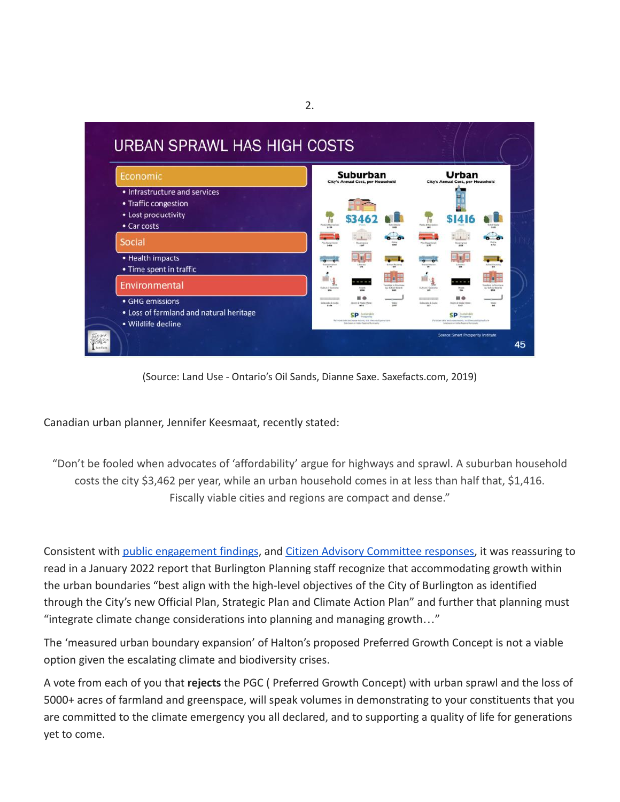

(Source: Land Use - Ontario's Oil Sands, Dianne Saxe. Saxefacts.com, 2019)

Canadian urban planner, Jennifer Keesmaat, recently stated:

"Don't be fooled when advocates of 'affordability' argue for highways and sprawl. A suburban household costs the city \$3,462 per year, while an urban household comes in at less than half that, \$1,416. Fiscally viable cities and regions are compact and dense."

Consistent with [public engagement findings](https://edmweb.halton.ca/OnBaseAgendaOnline/Documents/ViewDocument/Attachment%20_2%20to%20Draft%20PGC%20Memo%20-%20Summary%20of%20Public%20Engagement.pdf.pdf?meetingId=4266&documentType=Agenda&itemId=120978&publishId=70578&isSection=false), and Citizen [Advisory Committee responses,](https://edmweb.halton.ca/OnBaseAgendaOnline/Documents/ViewDocument/Attachment%20_3%20to%20Draft%20PGC%20Memo%20-%20Response%20to%20Advisory%20Committee%20Comments%20Ta.pdf?meetingId=4266&documentType=Agenda&itemId=120978&publishId=70579&isSection=false) it was reassuring to read in a January 2022 report that Burlington Planning staff recognize that accommodating growth within the urban boundaries "best align with the high-level objectives of the City of Burlington as identified through the City's new Official Plan, Strategic Plan and Climate Action Plan" and further that planning must "integrate climate change considerations into planning and managing growth…"

The 'measured urban boundary expansion' of Halton's proposed Preferred Growth Concept is not a viable option given the escalating climate and biodiversity crises.

A vote from each of you that **rejects** the PGC ( Preferred Growth Concept) with urban sprawl and the loss of 5000+ acres of farmland and greenspace, will speak volumes in demonstrating to your constituents that you are committed to the climate emergency you all declared, and to supporting a quality of life for generations yet to come.